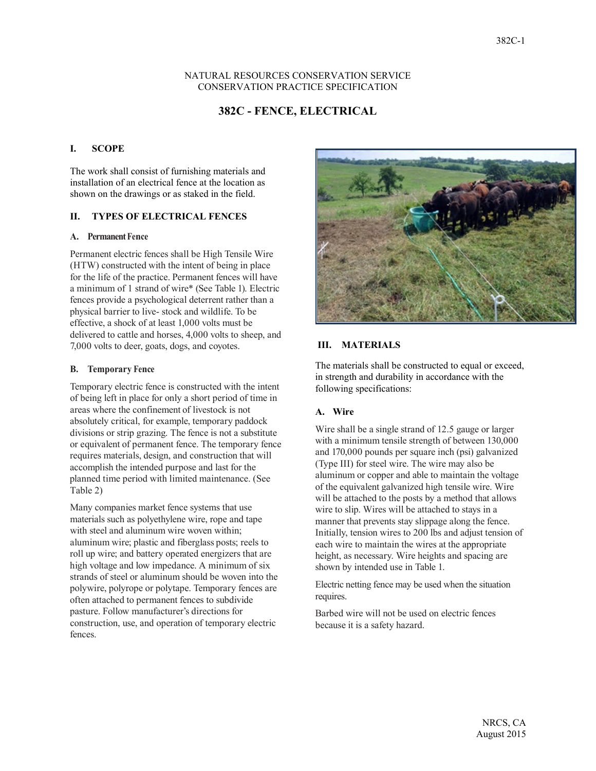#### NATURAL RESOURCES CONSERVATION SERVICE CONSERVATION PRACTICE SPECIFICATION

# **382C - FENCE, ELECTRICAL**

#### **I. SCOPE**

The work shall consist of furnishing materials and installation of an electrical fence at the location as shown on the drawings or as staked in the field.

#### **II. TYPES OF ELECTRICAL FENCES**

#### **A. Permanent Fence**

Permanent electric fences shall be High Tensile Wire (HTW) constructed with the intent of being in place for the life of the practice. Permanent fences will have a minimum of 1 strand of wire\* (See Table 1). Electric fences provide a psychological deterrent rather than a physical barrier to live- stock and wildlife. To be effective, a shock of at least 1,000 volts must be delivered to cattle and horses, 4,000 volts to sheep, and 7,000 volts to deer, goats, dogs, and coyotes.

#### **B. Temporary Fence**

Temporary electric fence is constructed with the intent of being left in place for only a short period of time in areas where the confinement of livestock is not absolutely critical, for example, temporary paddock divisions or strip grazing. The fence is not a substitute or equivalent of permanent fence. The temporary fence requires materials, design, and construction that will accomplish the intended purpose and last for the planned time period with limited maintenance. (See Table 2)

Many companies market fence systems that use materials such as polyethylene wire, rope and tape with steel and aluminum wire woven within; aluminum wire; plastic and fiberglass posts; reels to roll up wire; and battery operated energizers that are high voltage and low impedance. A minimum of six strands of steel or aluminum should be woven into the polywire, polyrope or polytape. Temporary fences are often attached to permanent fences to subdivide pasture. Follow manufacturer's directions for construction, use, and operation of temporary electric fences.



### **III. MATERIALS**

The materials shall be constructed to equal or exceed, in strength and durability in accordance with the following specifications:

#### **A. Wire**

Wire shall be a single strand of 12.5 gauge or larger with a minimum tensile strength of between 130,000 and 170,000 pounds per square inch (psi) galvanized (Type III) for steel wire. The wire may also be aluminum or copper and able to maintain the voltage of the equivalent galvanized high tensile wire. Wire will be attached to the posts by a method that allows wire to slip. Wires will be attached to stays in a manner that prevents stay slippage along the fence. Initially, tension wires to 200 lbs and adjust tension of each wire to maintain the wires at the appropriate height, as necessary. Wire heights and spacing are shown by intended use in Table 1.

Electric netting fence may be used when the situation requires.

Barbed wire will not be used on electric fences because it is a safety hazard.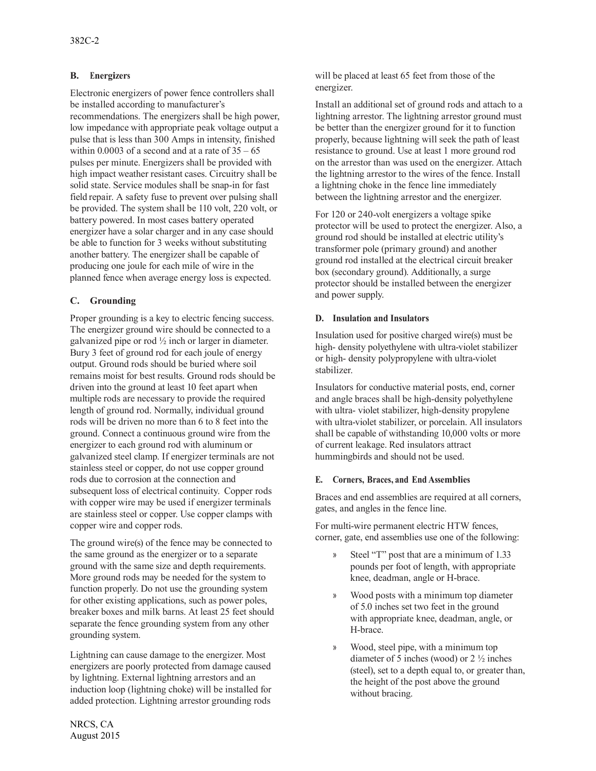# **B. Energizers**

Electronic energizers of power fence controllers shall be installed according to manufacturer's recommendations. The energizers shall be high power, low impedance with appropriate peak voltage output a pulse that is less than 300 Amps in intensity, finished within 0.0003 of a second and at a rate of  $35 - 65$ pulses per minute. Energizers shall be provided with high impact weather resistant cases. Circuitry shall be solid state. Service modules shall be snap-in for fast field repair. A safety fuse to prevent over pulsing shall be provided. The system shall be 110 volt, 220 volt, or battery powered. In most cases battery operated energizer have a solar charger and in any case should be able to function for 3 weeks without substituting another battery. The energizer shall be capable of producing one joule for each mile of wire in the planned fence when average energy loss is expected.

# **C. Grounding**

Proper grounding is a key to electric fencing success. The energizer ground wire should be connected to a galvanized pipe or rod ½ inch or larger in diameter. Bury 3 feet of ground rod for each joule of energy output. Ground rods should be buried where soil remains moist for best results. Ground rods should be driven into the ground at least 10 feet apart when multiple rods are necessary to provide the required length of ground rod. Normally, individual ground rods will be driven no more than 6 to 8 feet into the ground. Connect a continuous ground wire from the energizer to each ground rod with aluminum or galvanized steel clamp. If energizer terminals are not stainless steel or copper, do not use copper ground rods due to corrosion at the connection and subsequent loss of electrical continuity. Copper rods with copper wire may be used if energizer terminals are stainless steel or copper. Use copper clamps with copper wire and copper rods.

The ground wire(s) of the fence may be connected to the same ground as the energizer or to a separate ground with the same size and depth requirements. More ground rods may be needed for the system to function properly. Do not use the grounding system for other existing applications, such as power poles, breaker boxes and milk barns. At least 25 feet should separate the fence grounding system from any other grounding system.

Lightning can cause damage to the energizer. Most energizers are poorly protected from damage caused by lightning. External lightning arrestors and an induction loop (lightning choke) will be installed for added protection. Lightning arrestor grounding rods

Install an additional set of ground rods and attach to a lightning arrestor. The lightning arrestor ground must be better than the energizer ground for it to function properly, because lightning will seek the path of least resistance to ground. Use at least 1 more ground rod on the arrestor than was used on the energizer. Attach the lightning arrestor to the wires of the fence. Install a lightning choke in the fence line immediately between the lightning arrestor and the energizer.

For 120 or 240-volt energizers a voltage spike protector will be used to protect the energizer. Also, a ground rod should be installed at electric utility's transformer pole (primary ground) and another ground rod installed at the electrical circuit breaker box (secondary ground). Additionally, a surge protector should be installed between the energizer and power supply.

# **D. Insulation and Insulators**

Insulation used for positive charged wire(s) must be high- density polyethylene with ultra-violet stabilizer or high- density polypropylene with ultra-violet stabilizer.

Insulators for conductive material posts, end, corner and angle braces shall be high-density polyethylene with ultra- violet stabilizer, high-density propylene with ultra-violet stabilizer, or porcelain. All insulators shall be capable of withstanding 10,000 volts or more of current leakage. Red insulators attract hummingbirds and should not be used.

# **E. Corners, Braces, and End Assemblies**

Braces and end assemblies are required at all corners, gates, and angles in the fence line.

For multi-wire permanent electric HTW fences, corner, gate, end assemblies use one of the following:

- » Steel "T" post that are a minimum of 1.33 pounds per foot of length, with appropriate knee, deadman, angle or H-brace.
- » Wood posts with a minimum top diameter of 5.0 inches set two feet in the ground with appropriate knee, deadman, angle, or H-brace.
- » Wood, steel pipe, with a minimum top diameter of 5 inches (wood) or 2 ½ inches (steel), set to a depth equal to, or greater than, the height of the post above the ground without bracing.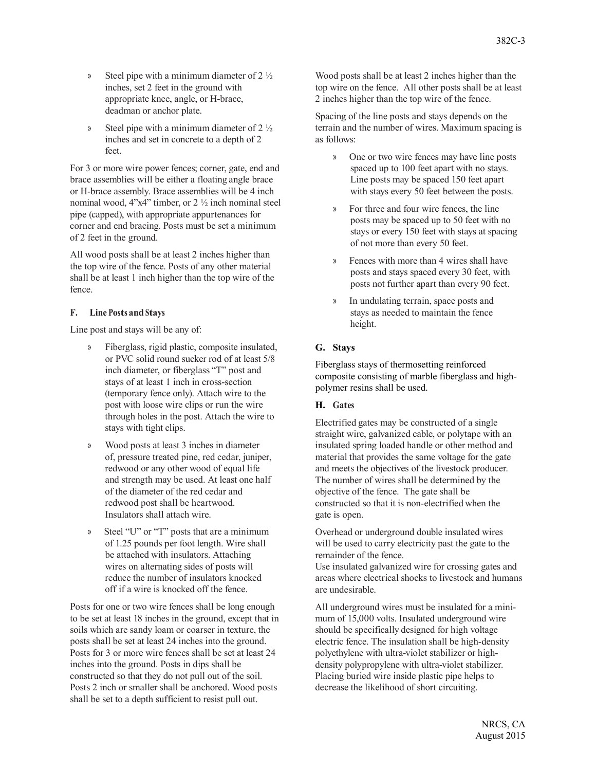- » Steel pipe with a minimum diameter of 2 ½ inches, set 2 feet in the ground with appropriate knee, angle, or H-brace, deadman or anchor plate.
- Steel pipe with a minimum diameter of  $2\frac{1}{2}$ inches and set in concrete to a depth of 2 feet.

For 3 or more wire power fences; corner, gate, end and brace assemblies will be either a floating angle brace or H-brace assembly. Brace assemblies will be 4 inch nominal wood, 4"x4" timber, or 2 ½ inch nominal steel pipe (capped), with appropriate appurtenances for corner and end bracing. Posts must be set a minimum of 2 feet in the ground.

All wood posts shall be at least 2 inches higher than the top wire of the fence. Posts of any other material shall be at least 1 inch higher than the top wire of the fence.

# **F. Line Posts and Stays**

Line post and stays will be any of:

- » Fiberglass, rigid plastic, composite insulated, or PVC solid round sucker rod of at least 5/8 inch diameter, or fiberglass "T" post and stays of at least 1 inch in cross-section (temporary fence only). Attach wire to the post with loose wire clips or run the wire through holes in the post. Attach the wire to stays with tight clips.
- » Wood posts at least 3 inches in diameter of, pressure treated pine, red cedar, juniper, redwood or any other wood of equal life and strength may be used. At least one half of the diameter of the red cedar and redwood post shall be heartwood. Insulators shall attach wire.
- Steel "U" or "T" posts that are a minimum of 1.25 pounds per foot length. Wire shall be attached with insulators. Attaching wires on alternating sides of posts will reduce the number of insulators knocked off if a wire is knocked off the fence.

Posts for one or two wire fences shall be long enough to be set at least 18 inches in the ground, except that in soils which are sandy loam or coarser in texture, the posts shall be set at least 24 inches into the ground. Posts for 3 or more wire fences shall be set at least 24 inches into the ground. Posts in dips shall be constructed so that they do not pull out of the soil. Posts 2 inch or smaller shall be anchored. Wood posts shall be set to a depth sufficient to resist pull out.

Wood posts shall be at least 2 inches higher than the top wire on the fence. All other posts shall be at least 2 inches higher than the top wire of the fence.

Spacing of the line posts and stays depends on the terrain and the number of wires. Maximum spacing is as follows:

- » One or two wire fences may have line posts spaced up to 100 feet apart with no stays. Line posts may be spaced 150 feet apart with stays every 50 feet between the posts.
- » For three and four wire fences, the line posts may be spaced up to 50 feet with no stays or every 150 feet with stays at spacing of not more than every 50 feet.
- » Fences with more than 4 wires shall have posts and stays spaced every 30 feet, with posts not further apart than every 90 feet.
- » In undulating terrain, space posts and stays as needed to maintain the fence height.

# **G. Stays**

Fiberglass stays of thermosetting reinforced composite consisting of marble fiberglass and highpolymer resins shall be used.

# **H. Gates**

Electrified gates may be constructed of a single straight wire, galvanized cable, or polytape with an insulated spring loaded handle or other method and material that provides the same voltage for the gate and meets the objectives of the livestock producer. The number of wires shall be determined by the objective of the fence. The gate shall be constructed so that it is non-electrified when the gate is open.

Overhead or underground double insulated wires will be used to carry electricity past the gate to the remainder of the fence.

Use insulated galvanized wire for crossing gates and areas where electrical shocks to livestock and humans are undesirable.

All underground wires must be insulated for a minimum of 15,000 volts. Insulated underground wire should be specifically designed for high voltage electric fence. The insulation shall be high-density polyethylene with ultra-violet stabilizer or highdensity polypropylene with ultra-violet stabilizer. Placing buried wire inside plastic pipe helps to decrease the likelihood of short circuiting.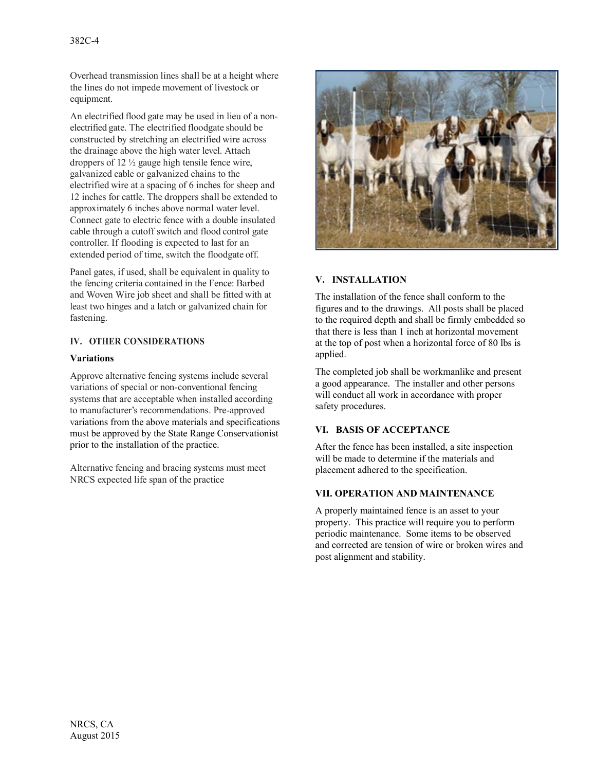Overhead transmission lines shall be at a height where the lines do not impede movement of livestock or equipment.

An electrified flood gate may be used in lieu of a nonelectrified gate. The electrified floodgate should be constructed by stretching an electrified wire across the drainage above the high water level. Attach droppers of 12 ½ gauge high tensile fence wire, galvanized cable or galvanized chains to the electrified wire at a spacing of 6 inches for sheep and 12 inches for cattle. The droppers shall be extended to approximately 6 inches above normal water level. Connect gate to electric fence with a double insulated cable through a cutoff switch and flood control gate controller. If flooding is expected to last for an extended period of time, switch the floodgate off.

Panel gates, if used, shall be equivalent in quality to the fencing criteria contained in the Fence: Barbed and Woven Wire job sheet and shall be fitted with at least two hinges and a latch or galvanized chain for fastening.

### **IV. OTHER CONSIDERATIONS**

### **Variations**

Approve alternative fencing systems include several variations of special or non-conventional fencing systems that are acceptable when installed according to manufacturer's recommendations. Pre-approved variations from the above materials and specifications must be approved by the State Range Conservationist prior to the installation of the practice.

Alternative fencing and bracing systems must meet NRCS expected life span of the practice



### **V. INSTALLATION**

The installation of the fence shall conform to the figures and to the drawings. All posts shall be placed to the required depth and shall be firmly embedded so that there is less than 1 inch at horizontal movement at the top of post when a horizontal force of 80 lbs is applied.

The completed job shall be workmanlike and present a good appearance. The installer and other persons will conduct all work in accordance with proper safety procedures.

# **VI. BASIS OF ACCEPTANCE**

After the fence has been installed, a site inspection will be made to determine if the materials and placement adhered to the specification.

# **VII. OPERATION AND MAINTENANCE**

A properly maintained fence is an asset to your property. This practice will require you to perform periodic maintenance. Some items to be observed and corrected are tension of wire or broken wires and post alignment and stability.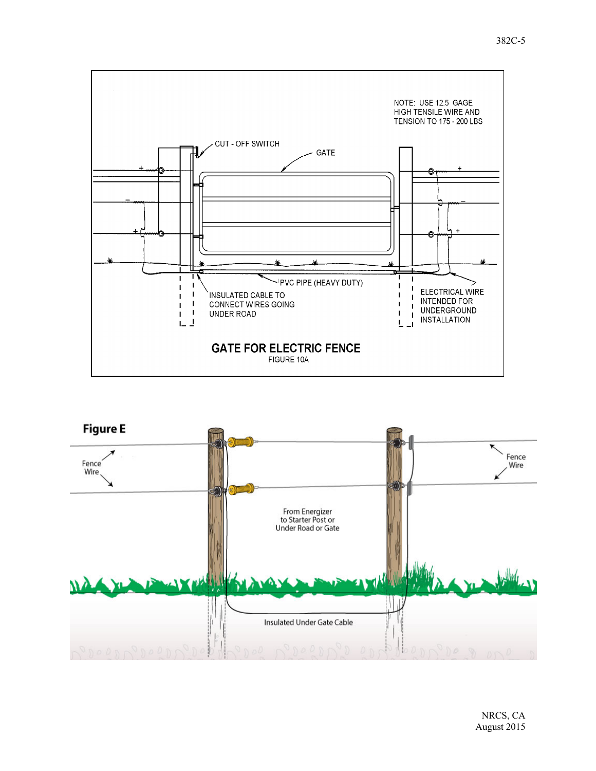

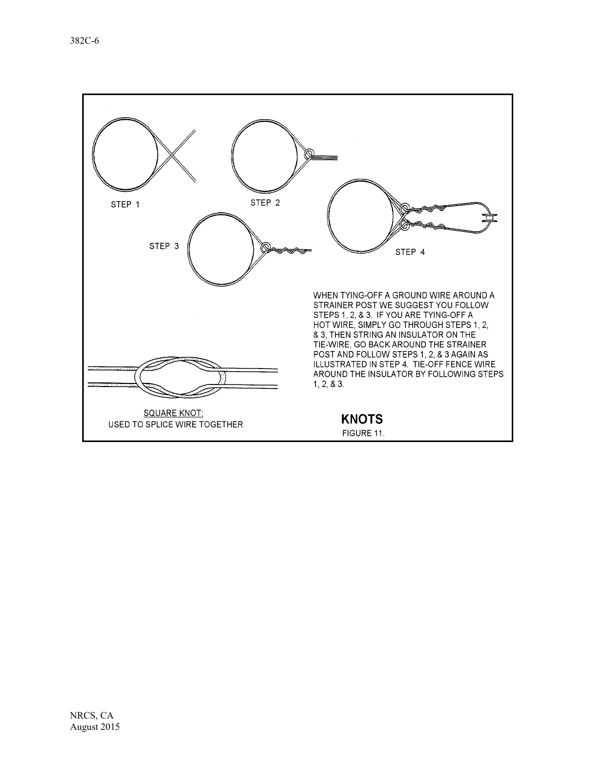